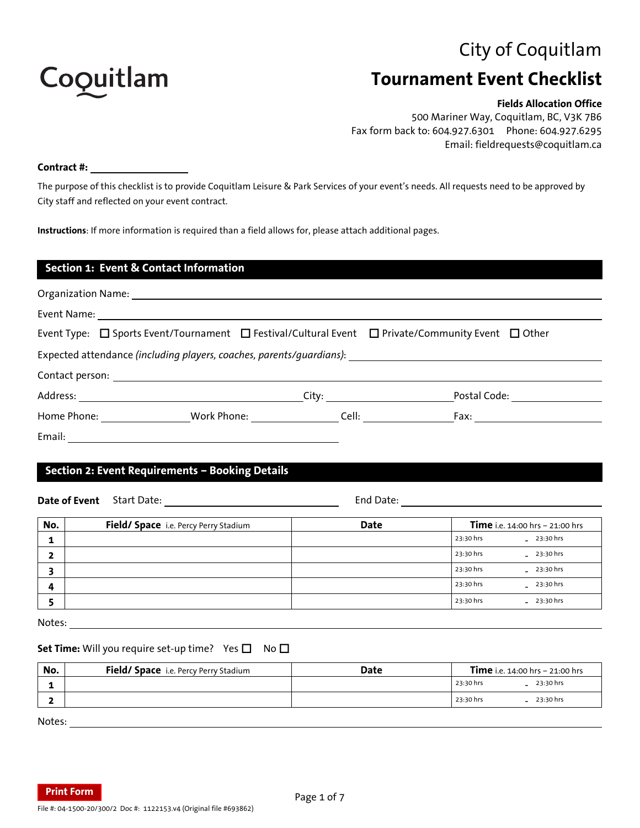# City of Coquitlam



# **Tournament Event Checklist**

## **Fields Allocation Office**

500 Mariner Way, Coquitlam, BC, V3K 7B6 Fax form back to: 604.927.6301 Phone: 604.927.6295 Email: fieldrequests@coquitlam.ca

### **Contract #:**

The purpose of this checklist is to provide Coquitlam Leisure & Park Services of your event's needs. All requests need to be approved by City staff and reflected on your event contract.

**Instructions**: If more information is required than a field allows for, please attach additional pages.

| <b>Section 1: Event &amp; Contact Information</b>                                                                     |                                              |                  |  |
|-----------------------------------------------------------------------------------------------------------------------|----------------------------------------------|------------------|--|
|                                                                                                                       |                                              |                  |  |
|                                                                                                                       |                                              |                  |  |
| Event Type: $\Box$ Sports Event/Tournament $\Box$ Festival/Cultural Event $\Box$ Private/Community Event $\Box$ Other |                                              |                  |  |
| Expected attendance (including players, coaches, parents/guardians): _______________________________                  |                                              |                  |  |
|                                                                                                                       |                                              |                  |  |
|                                                                                                                       | City:                                        | Postal Code:     |  |
| Home Phone: <u>_____________</u>                                                                                      | _Work Phone: ________________________Cell: _ | Fax: ___________ |  |
| Email:                                                                                                                |                                              |                  |  |

## **Section 2: Event Requirements – Booking Details**

**Date of Event** Start Date: **End Date:** End Date: End Date: **No. Field/ Space** i.e. Percy Perry Stadium **Date Time** i.e. 14:00 hrs – 21:00 hrs **1**  $\frac{1}{23:30 \text{ hrs}}$   $\frac{1}{23:30 \text{ hrs}}$ **2** - **3** - **4** - 23:30 hrs 23:30 hrs 23:30 hrs 23:30 hrs 23:30 hrs 23:30 hrs 23:30 hrs 23:30 hrs 23:30 hrs 23:30 hrs 23:30 hrs 23:30 hrs 23:30 hrs 23:30 hrs 23:30 hrs 23:30 hrs 23:30 hrs 23:30 hrs 23:30 hrs 23:30 hrs 23:30 hrs 23:30 hrs 23

**5**  $\begin{bmatrix} 23:30 \text{ hrs} & -2 \end{bmatrix}$ 

Notes:

### **Set Time:** Will you require set-up time? Yes **□** No □

| No. | <b>Field/ Space</b> i.e. Percy Perry Stadium | Date | <b>Time</b> i.e. 14:00 hrs - 21:00 hrs |  |  |
|-----|----------------------------------------------|------|----------------------------------------|--|--|
|     |                                              |      | 23:30 hrs<br>23:30 hrs                 |  |  |
|     |                                              |      | 23:30 hrs<br>23:30 hrs                 |  |  |
|     |                                              |      |                                        |  |  |

Notes:

**Print Form**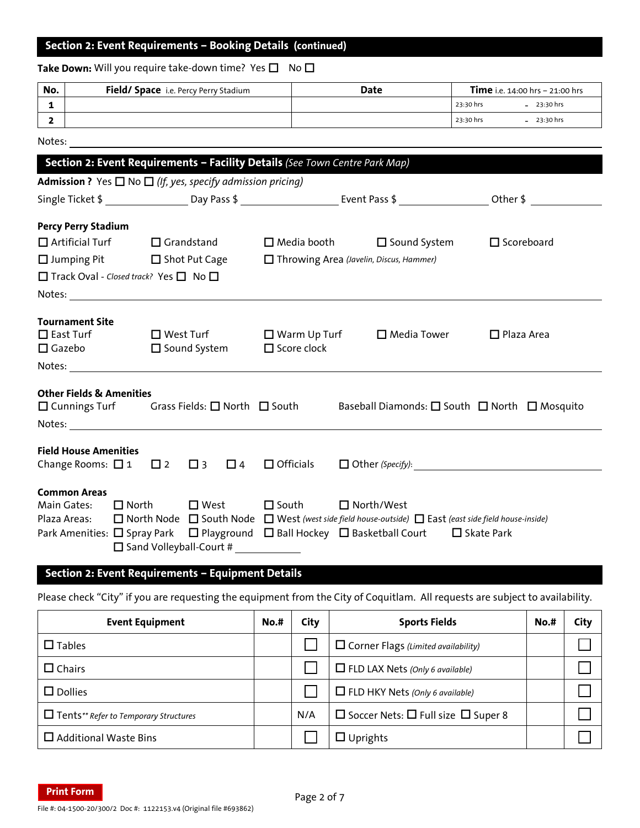## **Section 2: Event Requirements – Booking Details (continued)**

## **Take Down:** Will you require take-down time? Yes  $\Box$  No  $\Box$

| No. | <b>Field/ Space</b> i.e. Percy Perry Stadium | Date | <b>Time</b> i.e. 14:00 hrs - 21:00 hrs |
|-----|----------------------------------------------|------|----------------------------------------|
|     |                                              |      | 23:30 hrs<br>$-23:30$ hrs              |
|     |                                              |      | 23:30 hrs<br>$-23:30$ hrs              |

Notes:

| Section 2: Event Requirements - Facility Details (See Town Centre Park Map)  |                                                                                                                                                                                                                                                                                                                                                                                        |  |                                             |  |                                                                                                            |                   |  |                                                                                                                                            |  |
|------------------------------------------------------------------------------|----------------------------------------------------------------------------------------------------------------------------------------------------------------------------------------------------------------------------------------------------------------------------------------------------------------------------------------------------------------------------------------|--|---------------------------------------------|--|------------------------------------------------------------------------------------------------------------|-------------------|--|--------------------------------------------------------------------------------------------------------------------------------------------|--|
| <b>Admission ?</b> Yes $\Box$ No $\Box$ (If, yes, specify admission pricing) |                                                                                                                                                                                                                                                                                                                                                                                        |  |                                             |  |                                                                                                            |                   |  |                                                                                                                                            |  |
|                                                                              |                                                                                                                                                                                                                                                                                                                                                                                        |  |                                             |  |                                                                                                            |                   |  | Single Ticket \$ __________________Day Pass \$ __________________________Event Pass \$ _________________________Other \$ _________________ |  |
| <b>Percy Perry Stadium</b>                                                   |                                                                                                                                                                                                                                                                                                                                                                                        |  |                                             |  |                                                                                                            |                   |  |                                                                                                                                            |  |
| $\Box$ Artificial Turf $\Box$ Grandstand                                     |                                                                                                                                                                                                                                                                                                                                                                                        |  |                                             |  | $\Box$ Media booth $\Box$ Sound System                                                                     |                   |  | $\Box$ Scoreboard                                                                                                                          |  |
| □ Jumping Pit □ Shot Put Cage                                                |                                                                                                                                                                                                                                                                                                                                                                                        |  |                                             |  | Throwing Area (Javelin, Discus, Hammer)                                                                    |                   |  |                                                                                                                                            |  |
|                                                                              | □ Track Oval - Closed track? Yes □ No □                                                                                                                                                                                                                                                                                                                                                |  |                                             |  |                                                                                                            |                   |  |                                                                                                                                            |  |
|                                                                              |                                                                                                                                                                                                                                                                                                                                                                                        |  |                                             |  |                                                                                                            |                   |  |                                                                                                                                            |  |
| <b>Tournament Site</b><br>$\square$ East Turf<br>□ Gazebo □ Sound System     |                                                                                                                                                                                                                                                                                                                                                                                        |  |                                             |  | □ West Turf      □ Warm Up Turf    □ Media Tower<br>$\square$ Score clock                                  |                   |  | $\Box$ Plaza Area                                                                                                                          |  |
|                                                                              | <b>Other Fields &amp; Amenities</b><br>Baseball Diamonds: □ South □ North □ Mosquito<br>$\Box$ Cunnings Turf Grass Fields: $\Box$ North $\Box$ South<br>Notes: and the contract of the contract of the contract of the contract of the contract of the contract of the contract of the contract of the contract of the contract of the contract of the contract of the contract of the |  |                                             |  |                                                                                                            |                   |  |                                                                                                                                            |  |
| <b>Field House Amenities</b>                                                 |                                                                                                                                                                                                                                                                                                                                                                                        |  |                                             |  | Change Rooms: $\Box$ 1 $\Box$ 2 $\Box$ 3 $\Box$ 4 $\Box$ Officials                                         |                   |  | $\Box$ Other (Specify): $\Box$                                                                                                             |  |
| <b>Common Areas</b><br>Main Gates:                                           | $\Box$ North                                                                                                                                                                                                                                                                                                                                                                           |  | $\square$ West<br>□ Sand Volleyball-Court # |  | $\square$ South<br>Park Amenities: □ Spray Park □ Playground □ Ball Hockey □ Basketball Court □ Skate Park | $\Box$ North/West |  | Plaza Areas: □ North Node □ South Node □ West (west side field house-outside) □ East (east side field house-inside)                        |  |

## **Section 2: Event Requirements – Equipment Details**

Please check "City" if you are requesting the equipment from the City of Coquitlam. All requests are subject to availability.

| <b>Event Equipment</b>                       | $No.*$ | City | <b>Sports Fields</b>                                | $No.*$ | City |
|----------------------------------------------|--------|------|-----------------------------------------------------|--------|------|
| $\square$ Tables                             |        |      | $\Box$ Corner Flags (Limited availability)          |        |      |
| $\Box$ Chairs                                |        |      | $\Box$ FLD LAX Nets (Only 6 available)              |        |      |
| $\Box$ Dollies                               |        |      | $\Box$ FLD HKY Nets (Only 6 available)              |        |      |
| $\Box$ Tents** Refer to Temporary Structures |        | N/A  | $\Box$ Soccer Nets: $\Box$ Full size $\Box$ Super 8 |        |      |
| $\Box$ Additional Waste Bins                 |        |      | $\Box$ Uprights                                     |        |      |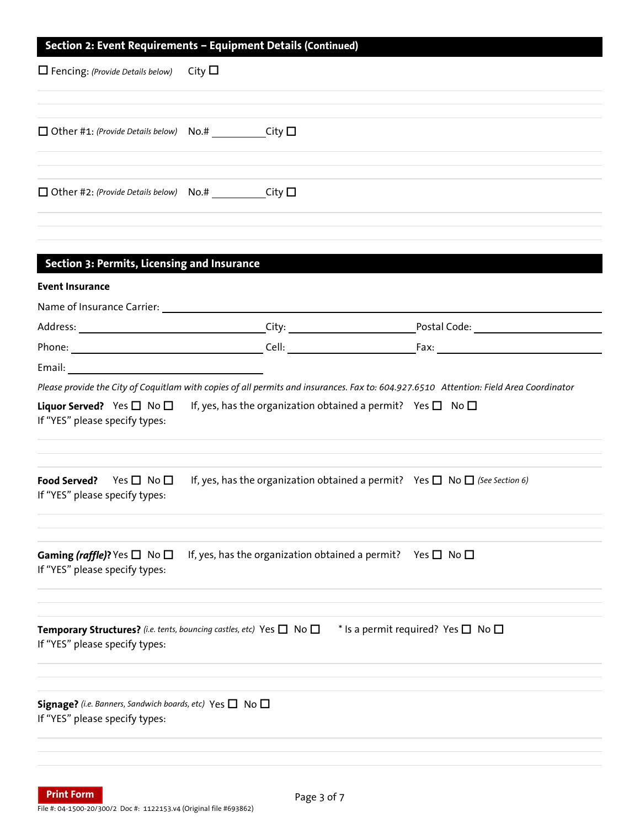## **Section 2: Event Requirements – Equipment Details (Continued)**

| $\Box$ Fencing: (Provide Details below) City $\Box$       |  |  |
|-----------------------------------------------------------|--|--|
|                                                           |  |  |
| $\Box$ Other #1: (Provide Details below) No.# City $\Box$ |  |  |
|                                                           |  |  |
| $\Box$ Other #2: (Provide Details below) No.# City $\Box$ |  |  |
|                                                           |  |  |

| Section 3: Permits, Licensing and Insurance                                    |                                                                                                                                        |                                                                                                                                                                                                                                |
|--------------------------------------------------------------------------------|----------------------------------------------------------------------------------------------------------------------------------------|--------------------------------------------------------------------------------------------------------------------------------------------------------------------------------------------------------------------------------|
| <b>Event Insurance</b>                                                         |                                                                                                                                        |                                                                                                                                                                                                                                |
| Name of Insurance Carrier:                                                     |                                                                                                                                        |                                                                                                                                                                                                                                |
|                                                                                |                                                                                                                                        | Postal Code:                                                                                                                                                                                                                   |
|                                                                                |                                                                                                                                        | Fax: Exercise and the set of the set of the set of the set of the set of the set of the set of the set of the set of the set of the set of the set of the set of the set of the set of the set of the set of the set of the se |
| Email: <u>Campioneers</u>                                                      |                                                                                                                                        |                                                                                                                                                                                                                                |
|                                                                                | Please provide the City of Coquitlam with copies of all permits and insurances. Fax to: 604.927.6510 Attention: Field Area Coordinator |                                                                                                                                                                                                                                |
| If "YES" please specify types:                                                 | <b>Liquor Served?</b> Yes $\Box$ No $\Box$ If, yes, has the organization obtained a permit? Yes $\Box$ No $\Box$                       |                                                                                                                                                                                                                                |
| Food Served? Yes $\Box$ No $\Box$<br>If "YES" please specify types:            | If, yes, has the organization obtained a permit? Yes $\Box$ No $\Box$ (See Section 6)                                                  |                                                                                                                                                                                                                                |
| <b>Gaming (raffle)?</b> Yes $\Box$ No $\Box$<br>If "YES" please specify types: | If, yes, has the organization obtained a permit? Yes $\square$ No $\square$                                                            |                                                                                                                                                                                                                                |
| If "YES" please specify types:                                                 | Temporary Structures? (i.e. tents, bouncing castles, etc) Yes $\Box$ No $\Box$                                                         | * Is a permit required? Yes $\square$ No $\square$                                                                                                                                                                             |
|                                                                                | Signage? (i.e. Banners, Sandwich boards, etc) Yes $\Box$ No $\Box$                                                                     |                                                                                                                                                                                                                                |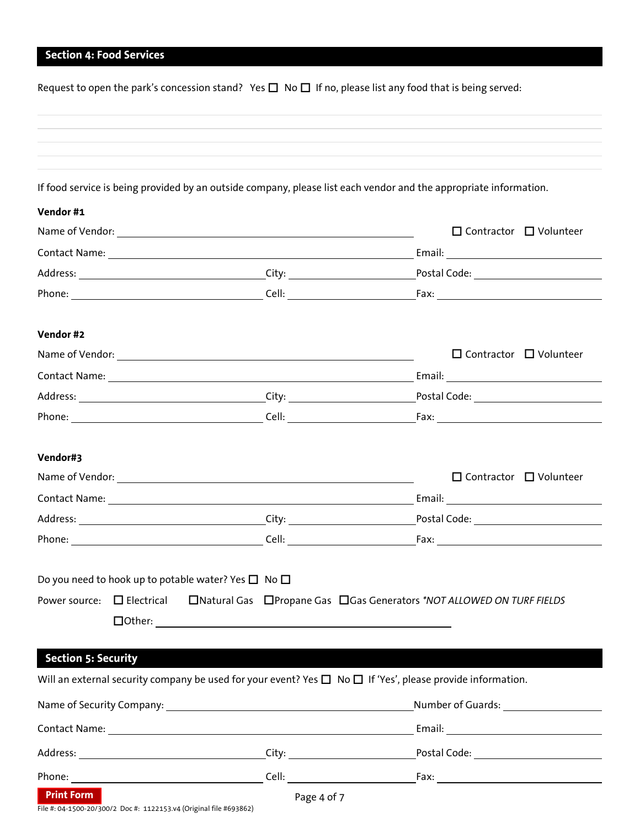## **Section 4: Food Services**

|                            | Request to open the park's concession stand? Yes $\square$ No $\square$ If no, please list any food that is being served: |       |                                                                                                                                                                                                                                     |  |  |  |  |
|----------------------------|---------------------------------------------------------------------------------------------------------------------------|-------|-------------------------------------------------------------------------------------------------------------------------------------------------------------------------------------------------------------------------------------|--|--|--|--|
|                            |                                                                                                                           |       |                                                                                                                                                                                                                                     |  |  |  |  |
|                            |                                                                                                                           |       | If food service is being provided by an outside company, please list each vendor and the appropriate information.                                                                                                                   |  |  |  |  |
| Vendor #1                  |                                                                                                                           |       |                                                                                                                                                                                                                                     |  |  |  |  |
|                            |                                                                                                                           |       | $\Box$ Contractor $\Box$ Volunteer                                                                                                                                                                                                  |  |  |  |  |
|                            |                                                                                                                           |       |                                                                                                                                                                                                                                     |  |  |  |  |
|                            |                                                                                                                           |       |                                                                                                                                                                                                                                     |  |  |  |  |
|                            |                                                                                                                           |       |                                                                                                                                                                                                                                     |  |  |  |  |
| Vendor #2                  |                                                                                                                           |       |                                                                                                                                                                                                                                     |  |  |  |  |
|                            | Name of Vendor: 1999 and 2008 and 2009 and 2009 and 2009 and 2009 and 2009 and 2009 and 2009 and 200                      |       | $\Box$ Contractor $\Box$ Volunteer                                                                                                                                                                                                  |  |  |  |  |
|                            |                                                                                                                           |       |                                                                                                                                                                                                                                     |  |  |  |  |
|                            |                                                                                                                           |       |                                                                                                                                                                                                                                     |  |  |  |  |
|                            |                                                                                                                           |       |                                                                                                                                                                                                                                     |  |  |  |  |
| Vendor#3                   |                                                                                                                           |       |                                                                                                                                                                                                                                     |  |  |  |  |
|                            |                                                                                                                           |       | $\Box$ Contractor $\Box$ Volunteer                                                                                                                                                                                                  |  |  |  |  |
|                            |                                                                                                                           |       |                                                                                                                                                                                                                                     |  |  |  |  |
|                            | Address: City: City:                                                                                                      |       | Postal Code: <u>_________________________</u>                                                                                                                                                                                       |  |  |  |  |
| Phone:                     |                                                                                                                           | Cell: | Fax:                                                                                                                                                                                                                                |  |  |  |  |
|                            | Do you need to hook up to potable water? Yes $\square$ No $\square$                                                       |       |                                                                                                                                                                                                                                     |  |  |  |  |
| Power source:              | $\square$ Electrical                                                                                                      |       | □ Natural Gas □ Propane Gas □ Gas Generators *NOT ALLOWED ON TURF FIELDS                                                                                                                                                            |  |  |  |  |
|                            |                                                                                                                           |       |                                                                                                                                                                                                                                     |  |  |  |  |
|                            |                                                                                                                           |       |                                                                                                                                                                                                                                     |  |  |  |  |
| <b>Section 5: Security</b> |                                                                                                                           |       |                                                                                                                                                                                                                                     |  |  |  |  |
|                            |                                                                                                                           |       | Will an external security company be used for your event? Yes $\Box$ No $\Box$ If 'Yes', please provide information.                                                                                                                |  |  |  |  |
|                            |                                                                                                                           |       | Name of Security Company: Name of Security Company: Number of Guards:                                                                                                                                                               |  |  |  |  |
|                            |                                                                                                                           |       | Contact Name: <u>Name: Announce</u> Contact Name: Announcement Contact Name: Announcement Contact Name: Announcement Contact Name: Announcement Contact Name: Announcement Contact Name: Announcement Contact Name: Announcement Co |  |  |  |  |
|                            |                                                                                                                           |       |                                                                                                                                                                                                                                     |  |  |  |  |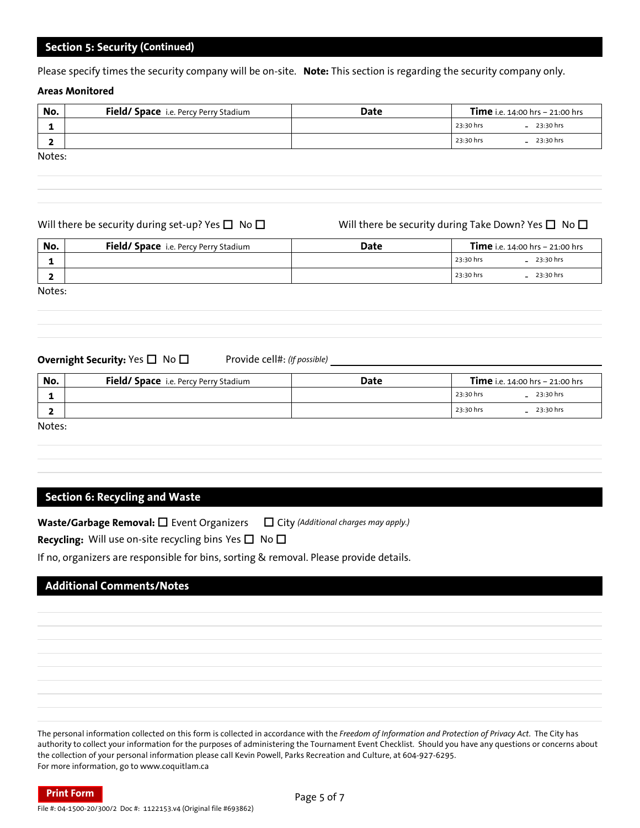## **Section 5: Security (Continued)**

Please specify times the security company will be on-site. **Note:** This section is regarding the security company only.

### **Areas Monitored**

| No.    | Field/ Space i.e. Percy Perry Stadium | Date | <b>Time</b> i.e. $14:00$ hrs - $21:00$ hrs |
|--------|---------------------------------------|------|--------------------------------------------|
|        |                                       |      | 23:30 hrs<br>$-23:30$ hrs                  |
|        |                                       |      | $-23:30$ hrs<br>23:30 hrs                  |
| Notes: |                                       |      |                                            |

| 1              |                                                                                      |             | 23:30 hrs | $-23:30 hrs$                                                        |
|----------------|--------------------------------------------------------------------------------------|-------------|-----------|---------------------------------------------------------------------|
| $\overline{2}$ |                                                                                      |             | 23:30 hrs | $-23:30$ hrs                                                        |
| Notes:         |                                                                                      |             |           |                                                                     |
|                |                                                                                      |             |           |                                                                     |
|                |                                                                                      |             |           |                                                                     |
|                | Will there be security during set-up? Yes $\Box$ No $\Box$                           |             |           | Will there be security during Take Down? Yes $\square$ No $\square$ |
| No.            | Field/ Space i.e. Percy Perry Stadium                                                | <b>Date</b> |           | Time i.e. 14:00 hrs - 21:00 hrs                                     |
| 1              |                                                                                      |             | 23:30 hrs | $-23:30$ hrs                                                        |
| $\mathbf{2}$   |                                                                                      |             | 23:30 hrs | $-23:30$ hrs                                                        |
| Notes:         |                                                                                      |             |           |                                                                     |
|                |                                                                                      |             |           |                                                                     |
|                |                                                                                      |             |           |                                                                     |
|                |                                                                                      |             |           |                                                                     |
|                |                                                                                      |             |           |                                                                     |
|                | Provide cell#: (If possible) ____<br><b>Overnight Security:</b> Yes $\Box$ No $\Box$ |             |           |                                                                     |
| No.            | Field/ Space i.e. Percy Perry Stadium                                                | Date        |           | Time i.e. 14:00 hrs - 21:00 hrs                                     |
| 1              |                                                                                      |             | 23:30 hrs | $-23:30$ hrs                                                        |
| $\mathbf{z}$   |                                                                                      |             | 23:30 hrs | $-23:30$ hrs                                                        |

### **Overnight Security:** Yes □ No □ Provide cell#: (If possible) \_\_\_\_\_\_\_\_\_\_\_\_\_\_\_\_\_\_\_

| No.    | <b>Field/ Space</b> i.e. Percy Perry Stadium | Date |           | <b>Time</b> i.e. 14:00 hrs - 21:00 hrs |
|--------|----------------------------------------------|------|-----------|----------------------------------------|
|        |                                              |      | 23:30 hrs | $-23:30$ hrs                           |
|        |                                              |      | 23:30 hrs | $-23:30$ hrs                           |
| Notes: |                                              |      |           |                                        |

**Section 6: Recycling and Waste** 

**Waste/Garbage Removal:** □ Event Organizers □ City *(Additional charges may apply.)* 

**Recycling:** Will use on-site recycling bins Yes  $\Box$  No  $\Box$ 

If no, organizers are responsible for bins, sorting & removal. Please provide details.

## **Additional Comments/Notes**

The personal information collected on this form is collected in accordance with the *Freedom of Information and Protection of Privacy Act*. The City has authority to collect your information for the purposes of administering the Tournament Event Checklist. Should you have any questions or concerns about the collection of your personal information please call Kevin Powell, Parks Recreation and Culture, at 604-927-6295. For more information, go to www.coquitlam.ca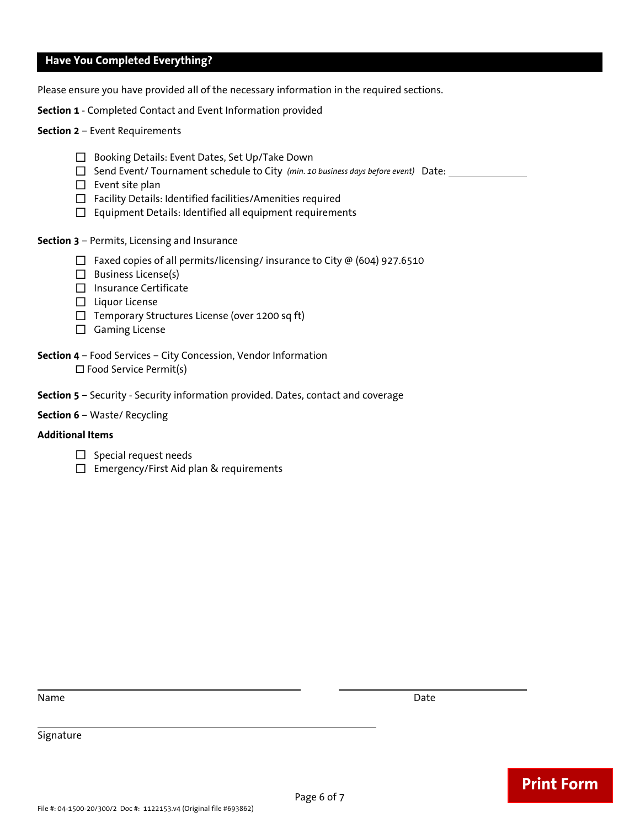## **Have You Completed Everything?**

Please ensure you have provided all of the necessary information in the required sections.

**Section 1** - Completed Contact and Event Information provided

### **Section 2** – Event Requirements

- □ Booking Details: Event Dates, Set Up/Take Down
- Send Event/ Tournament schedule to City *(min. 10 business days before event)* Date:
- $\Box$  Event site plan
- $\Box$  Facility Details: Identified facilities/Amenities required
- $\Box$  Equipment Details: Identified all equipment requirements

**Section 3** – Permits, Licensing and Insurance

- $\Box$  Faxed copies of all permits/licensing/ insurance to City @ (604) 927.6510
- $\Box$  Business License(s)
- □ Insurance Certificate
- $\Box$  Liquor License
- $\Box$  Temporary Structures License (over 1200 sq ft)
- $\Box$  Gaming License
- **Section 4** Food Services City Concession, Vendor Information □ Food Service Permit(s)
- **Section 5** Security Security information provided. Dates, contact and coverage
- **Section 6** Waste/ Recycling

### **Additional Items**

- $\Box$  Special request needs
- $\Box$  Emergency/First Aid plan & requirements

Name Date **Date of the United States of the United States of the United States of the United States of the United States of the United States of the United States of the United States of the United States of the United Sta** 

 $\overline{\phantom{a}}$ 

**Print Form**

## Signature